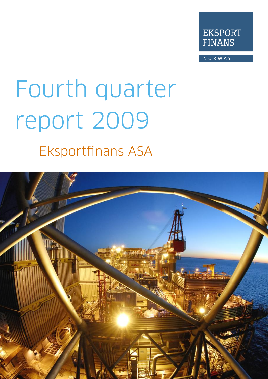

NORWAY

# Fourth quarter report 2009

**Eksportfinans ASA** 

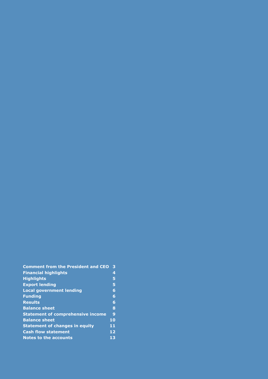| <b>Comment from the President and CEO</b> | 3            |
|-------------------------------------------|--------------|
| <b>Financial highlights</b>               | 4            |
| <b>Highlights</b>                         | 5            |
| <b>Export lending</b>                     | 5            |
| <b>Local government lending</b>           | 6            |
| <b>Funding</b>                            | 6            |
| <b>Results</b>                            | 6            |
| <b>Balance sheet</b>                      | 8            |
| <b>Statement of comprehensive income</b>  | $\mathbf{9}$ |
| <b>Balance sheet</b>                      | 10           |
| <b>Statement of changes in equity</b>     | 11           |
| <b>Cash flow statement</b>                | 12           |
| Notes to the accounts                     | 13           |
|                                           |              |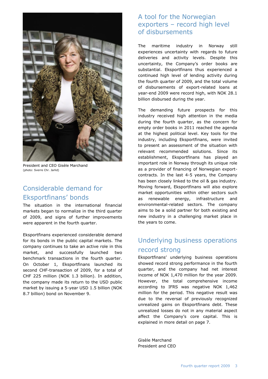

President and CEO Gisèle Marchand (photo: Sverre Chr. Jarlid)

## Considerable demand for Eksportfinans" bonds

The situation in the international financial markets began to normalize in the third quarter of 2009, and signs of further improvements were apparent in the fourth quarter.

Eksportfinans experienced considerable demand for its bonds in the public capital markets. The company continues to take an active role in this market, and successfully launched two benchmark transactions in the fourth quarter. On October 1, Eksportfinans launched its second CHF-transaction of 2009, for a total of CHF 225 million (NOK 1.3 billion). In addition, the company made its return to the USD public market by issuing a 5-year USD 1.5 billion (NOK 8.7 billion) bond on November 9.

#### A tool for the Norwegian exporters – record high level of disbursements

The maritime industry in Norway still experiences uncertainty with regards to future deliveries and activity levels. Despite this uncertainty, the Company's order books are substantial. Eksportfinans thus experienced a continued high level of lending activity during the fourth quarter of 2009, and the total volume of disbursements of export-related loans at year-end 2009 were record high, with NOK 28.1 billion disbursed during the year.

The demanding future prospects for this industry received high attention in the media during the fourth quarter, as the concern for empty order books in 2011 reached the agenda at the highest political level. Key tools for the industry, including Eksportfinans, were invited to present an assessment of the situation with relevant recommended solutions. Since its establishment, Eksportfinans has played an important role in Norway through its unique role as a provider of financing of Norwegian exportcontracts. In the last 4-5 years, the Company has been closely linked to the oil & gas industry. Moving forward, Eksportfinans will also explore market opportunities within other sectors such as renewable energy, infrastructure and environmental-related sectors. The company aims to be a solid partner for both existing and new industry in a challenging market place in the years to come.

## Underlying business operations record strong

Eksportfinans" underlying business operations showed record strong performance in the fourth quarter, and the company had net interest income of NOK 1,470 million for the year 2009. However, the total comprehensive income according to IFRS was negative NOK 1,462 million for the period. This negative result was due to the reversal of previously recognized unrealized gains on Eksportfinans debt. These unrealized losses do not in any material aspect affect the Company"s core capital. This is explained in more detail on page 7.

Gisèle Marchand President and CEO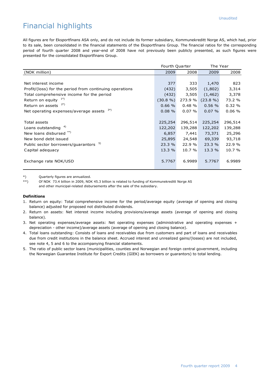## Financial highlights

All figures are for Eksportfinans ASA only, and do not include its former subsidiary, Kommunekreditt Norge AS, which had, prior to its sale, been consolidated in the financial statements of the Eksportfinans Group. The financial ratios for the corresponding period of fourth quarter 2008 and year-end of 2008 have not previously been publicly presented, as such figures were presented for the consolidated Eksportfinans Group.

|                                                         | Fourth Quarter |           | The Year    |         |
|---------------------------------------------------------|----------------|-----------|-------------|---------|
| (NOK million)                                           | 2009           | 2008      | 2009        | 2008    |
|                                                         |                |           |             |         |
| Net interest income                                     | 377            | 333       | 1,470       | 823     |
| Profit/(loss) for the period from continuing operations | (432)          | 3,505     | (1,802)     | 3,314   |
| Total comprehensive income for the period               | (432)          | 3,505     | (1, 462)    | 3,378   |
| Return on equity $1^*$ )                                | $(30.8\%)$     | 273.9 %   | $(23.8\% )$ | 73.2 %  |
| 2*)<br>Return on assets                                 | 0.66%          | 0.48%     | 0.56%       | 0.32%   |
| 3*)<br>Net operating expenses/average assets            | $0.08 \%$      | $0.07 \%$ | $0.07 \%$   | 0.06%   |
|                                                         |                |           |             |         |
| Total assets                                            | 225,254        | 296,514   | 225,254     | 296,514 |
| Loans outstanding $4)$                                  | 122,202        | 139,288   | 122,202     | 139,288 |
| New loans disbursed **)                                 | 6,857          | 7,441     | 73,371      | 25,296  |
| New bond debt issued                                    | 25,895         | 24,548    | 69,339      | 93,718  |
| 5)<br>Public sector borrowers/guarantors                | 23.3 %         | 22.9 %    | 23.3 %      | 22.9 %  |
| Capital adequacy                                        | 13.3%          | 10.7%     | 13.3%       | 10.7 %  |
|                                                         |                |           |             |         |
| Exchange rate NOK/USD                                   | 5.7767         | 6.9989    | 5.7767      | 6.9989  |
|                                                         |                |           |             |         |

\*) Quarterly figures are annualized.

\*\*) Of NOK 73.4 billion in 2009, NOK 45.3 billion is related to funding of Kommunekreditt Norge AS and other municipal-related disbursements after the sale of the subsidiary.

#### **Definitions**

- 1. Return on equity: Total comprehensive income for the period/average equity (average of opening and closing balance) adjusted for proposed not distributed dividends.
- 2. Return on assets: Net interest income including provisions/average assets (average of opening and closing balance).
- 3. Net operating expenses/average assets: Net operating expenses (administrative and operating expenses + depreciation - other income)/average assets (average of opening and closing balance).
- 4. Total loans outstanding: Consists of loans and receivables due from customers and part of loans and receivables due from credit institutions in the balance sheet. Accrued interest and unrealized gains/(losses) are not included, see note 4, 5 and 6 to the accompanying financial statements.
- 5. The ratio of public sector loans (municipalities, counties and Norwegian and foreign central government, including the Norwegian Guarantee Institute for Export Credits (GIEK) as borrowers or guarantors) to total lending.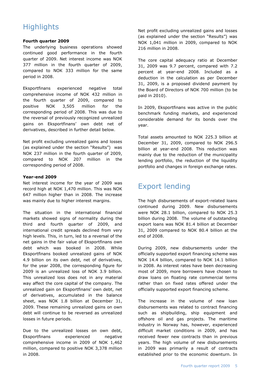## **Highlights**

#### **Fourth quarter 2009**

The underlying business operations showed continued good performance in the fourth quarter of 2009. Net interest income was NOK 377 million in the fourth quarter of 2009, compared to NOK 333 million for the same period in 2008.

Eksportfinans experienced negative total comprehensive income of NOK 432 million in the fourth quarter of 2009, compared to positive NOK 3,505 million for the corresponding period of 2008. This was due to the reversal of previously recognized unrealized gains on Eksportfinans" own debt net of derivatives, described in further detail below.

Net profit excluding unrealized gains and losses (as explained under the section "Results") was NOK 237 million in the fourth quarter of 2009, compared to NOK 207 million in the corresponding period of 2008.

#### **Year-end 2009**

Net interest income for the year of 2009 was record high at NOK 1,470 million. This was NOK 647 million higher than in 2008. The increase was mainly due to higher interest margins.

The situation in the international financial markets showed signs of normality during the third and fourth quarter of 2009, and international credit spreads declined from very high levels. This, in turn, led to a reversal of the net gains in the fair value of Eksportfinans own debt which was booked in 2008. While Eksportfinans booked unrealized gains of NOK 4.9 billion on its own debt, net of derivatives, for the year 2008, the corresponding figure for 2009 is an unrealized loss of NOK 3.9 billion. This unrealized loss does not in any material way affect the core capital of the company. The unrealized gain on Eksportfinans" own debt, net of derivatives, accumulated in the balance sheet, was NOK 1.8 billion at December 31, 2009. These remaining unrealized gains on own debt will continue to be reversed as unrealized losses in future periods.

Due to the unrealized losses on own debt, Eksportfinans experienced negative comprehensive income in 2009 of NOK 1,462 million, compared to positive NOK 3,378 million in 2008.

Net profit excluding unrealized gains and losses (as explained under the section "Results") was NOK 1,041 million in 2009, compared to NOK 216 million in 2008.

The core capital adequacy ratio at December 31, 2009 was 9.7 percent, compared with 7.2 percent at year-end 2008. Included as a deduction in the calculation as per December 31, 2009, is a proposed dividend payment by the Board of Directors of NOK 700 million (to be paid in 2010).

In 2009, Eksportfinans was active in the public benchmark funding markets, and experienced considerable demand for its bonds over the year.

Total assets amounted to NOK 225.3 billion at December 31, 2009, compared to NOK 296.5 billion at year-end 2008. This reduction was mainly due to the reduction of the municipality lending portfolio, the reduction of the liquidity portfolio and changes in foreign exchange rates.

## Export lending

The high disbursements of export-related loans continued during 2009. New disbursements were NOK 28.1 billion, compared to NOK 25.3 billion during 2008. The volume of outstanding export loans was NOK 81.4 billion at December 31, 2009 compared to NOK 80.4 billion at the end of 2008.

During 2009, new disbursements under the officially supported export financing scheme was NOK 14.4 billion, compared to NOK 14.1 billion in 2008. As interest rates have been decreasing most of 2009, more borrowers have chosen to draw loans on floating rate commercial terms rather than on fixed rates offered under the officially supported export financing scheme.

The increase in the volume of new loan disbursements was related to contract financing such as shipbuilding, ship equipment and offshore oil and gas projects. The maritime industry in Norway has, however, experienced difficult market conditions in 2009, and has received fewer new contracts than in previous years. The high volume of new disbursements in 2009 was primarily a result of contracts established prior to the economic downturn. In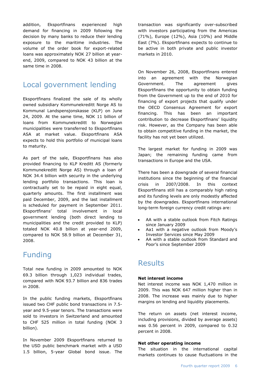addition, Eksportfinans experienced high demand for financing in 2009 following the decision by many banks to reduce their lending exposure to the maritime industries. The volume of the order book for export-related loans was approximately NOK 27 billion at yearend, 2009, compared to NOK 43 billion at the same time in 2008.

## Local government lending

Eksportfinans finalized the sale of its wholly owned subsidiary Kommunekreditt Norge AS to Kommunal Landspensjonskasse (KLP) on June 24, 2009. At the same time, NOK 11 billion of loans from Kommunekreditt to Norwegian municipalities were transferred to Eksportfinans ASA at market value. Eksportfinans ASA expects to hold this portfolio of municipal loans to maturity.

As part of the sale, Eksportfinans has also provided financing to KLP Kreditt AS (formerly Kommunekreditt Norge AS) through a loan of NOK 34.4 billion with security in the underlying lending portfolio transactions. This loan is contractually set to be repaid in eight equal, quarterly amounts. The first installment was paid December, 2009, and the last installment is scheduled for payment in September 2011. Eksportfinans" total involvement in local government lending (both direct lending to municipalities and the credit provided to KLP) totaled NOK 40.8 billion at year-end 2009, compared to NOK 58.9 billion at December 31, 2008.

## Funding

Total new funding in 2009 amounted to NOK 69.3 billion through 1,023 individual trades, compared with NOK 93.7 billion and 836 trades in 2008.

In the public funding markets, Eksportfinans issued two CHF public bond transactions in 7.5 year and 9.5-year tenors. The transactions were sold to investors in Switzerland and amounted to CHF 525 million in total funding (NOK 3 billion).

In November 2009 Eksportfinans returned to the USD public benchmark market with a USD 1.5 billion, 5-year Global bond issue. The

transaction was significantly over-subscribed with investors participating from the Americas (71%), Europe (12%), Asia (10%) and Middle East (7%). Eksportfinans expects to continue to be active in both private and public investor markets in 2010.

On November 26, 2008, Eksportfinans entered into an agreement with the Norwegian Government. The agreement gives Eksportfinans the opportunity to obtain funding from the Government up to the end of 2010 for financing of export projects that qualify under the OECD Consensus Agreement for export financing. This has been an important contribution to decrease Eksportfinans' liquidity risk. However, as the Company has been able to obtain competitive funding in the market, the facility has not yet been utilized.

The largest market for funding in 2009 was Japan; the remaining funding came from transactions in Europe and the USA.

There has been a downgrade of several financial institutions since the beginning of the financial crisis in 2007/2008. In this context Eksportfinans still has a comparably high rating and its funding levels are only modestly affected by the downgrades. Eksportfinans international long-term foreign currency credit ratings are:

- AA with a stable outlook from Fitch Ratings since January 2009
- Aa1 with a negative outlook from Moody"s Investor Services since May 2009
- AA with a stable outlook from Standard and Poor"s since September 2009

## **Results**

#### **Net interest income**

Net interest income was NOK 1,470 million in 2009. This was NOK 647 million higher than in 2008. The increase was mainly due to higher margins on lending and liquidity placements.

The return on assets (net interest income, including provisions, divided by average assets) was 0.56 percent in 2009, compared to 0.32 percent in 2008.

#### **Net other operating income**

The situation in the international capital markets continues to cause fluctuations in the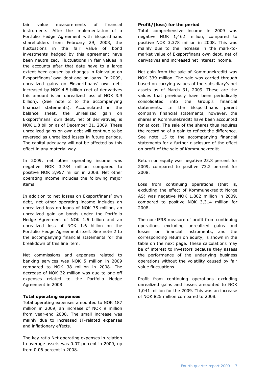fair value measurements of financial instruments. After the implementation of a Portfolio Hedge Agreement with Eksportfinans shareholders from February 29, 2008, the fluctuations in the fair value of bond investments hedged by this agreement have been neutralized. Fluctuations in fair values in the accounts after that date have to a large extent been caused by changes in fair value on Eksportfinans" own debt and on loans. In 2009, unrealized gains on Eksportfinans" own debt increased by NOK 4.5 billion (net of derivatives this amount is an unrealized loss of NOK 3.9 billion). (See note 2 to the accompanying financial statements). Accumulated in the balance sheet, the unrealized gain on Eksportfinans" own debt, net of derivatives, is NOK 1.8 billion as of December 31, 2009. These unrealized gains on own debt will continue to be reversed as unrealized losses in future periods. The capital adequacy will not be affected by this effect in any material way.

In 2009, net other operating income was negative NOK 3,784 million compared to positive NOK 3,957 million in 2008. Net other operating income includes the following major items:

In addition to net losses on Eksportfinans' own debt, net other operating income includes an unrealized loss on loans of NOK 75 million, an unrealized gain on bonds under the Portfolio Hedge Agreement of NOK 1.6 billion and an unrealized loss of NOK 1.6 billion on the Portfolio Hedge Agreement itself. See note 2 to the accompanying financial statements for the breakdown of this line item.

Net commissions and expenses related to banking services was NOK 5 million in 2009 compared to NOK 38 million in 2008. The decrease of NOK 32 million was due to one-off expenses related to the Portfolio Hedge Agreement in 2008.

#### **Total operating expenses**

Total operating expenses amounted to NOK 187 million in 2009, an increase of NOK 9 million from year-end 2008. The small increase was mainly due to increased IT-related expenses and inflationary effects.

The key ratio Net operating expenses in relation to average assets was 0.07 percent in 2009, up from 0.06 percent in 2008.

#### **Profit/(loss) for the period**

Total comprehensive income in 2009 was negative NOK 1,462 million, compared to positive NOK 3,378 million in 2008. This was mainly due to the increase in the mark-tomarket value of Eksportfinans own debt, net of derivatives and increased net interest income.

Net gain from the sale of Kommunekreditt was NOK 339 million. The sale was carried through based on carrying values of the subsidiary's net assets as of March 31, 2009. These are the values that previously have been periodically consolidated into the Group"s financial statements. In the Eksportfinans parent company financial statements, however, the shares in Kommunekreditt have been accounted for at cost. The sale of the shares thus requires the recording of a gain to reflect the difference. See note 15 to the accompanying financial statements for a further disclosure of the effect on profit of the sale of Kommunekreditt.

Return on equity was negative 23.8 percent for 2009, compared to positive 73.2 percent for 2008.

Loss from continuing operations (that is, excluding the effect of Kommunekreditt Norge AS) was negative NOK 1,802 million in 2009, compared to positive NOK 3,314 million for 2008.

The non-IFRS measure of profit from continuing operations excluding unrealized gains and losses on financial instruments, and the corresponding return on equity, is shown in the table on the next page. These calculations may be of interest to investors because they assess the performance of the underlying business operations without the volatility caused by fair value fluctuations.

Profit from continuing operations excluding unrealized gains and losses amounted to NOK 1,041 million for the 2009. This was an increase of NOK 825 million compared to 2008.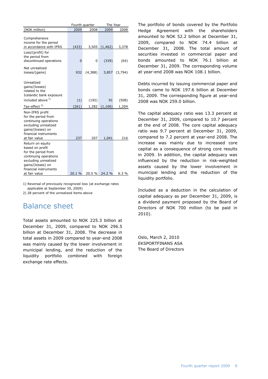|                                                                                                                                                                            |                | Fourth quarter | The Year      |         |
|----------------------------------------------------------------------------------------------------------------------------------------------------------------------------|----------------|----------------|---------------|---------|
| (NOK million)                                                                                                                                                              | 2009           | 2008           | 2009          | 2008    |
| Comprehensive<br>income for the period<br>in accordance with IFRS                                                                                                          | (433)          |                | 3,505 (1,462) | 3,378   |
| Loss/(profit) for<br>the period from<br>discontinued operations                                                                                                            | $\overline{0}$ | 0              | (339)         | (64)    |
| Net unrealized<br>losses/(gains)                                                                                                                                           | 932            | (4,388)        | 3,857         | (3,794) |
| Unrealized<br>qains/(losses)<br>related to the<br>Icelandic bank exposure                                                                                                  |                |                |               |         |
| included above 1)                                                                                                                                                          | (1)            | (192)          | 91            | (508)   |
| Tax-effect <sup>2)</sup>                                                                                                                                                   | (261)          |                | 1,282 (1,106) | 1,204   |
| Non-IFRS profit<br>for the period from<br>continuing operations<br>excluding unrealized<br>gains/(losses) on<br>financial instruments<br>at fair value                     | 237            | 207            | 1,041         | 216     |
| Return on equity<br>based on profit<br>for the period from<br>continuing operations<br>excluding unrealized<br>gains/(losses) on<br>financial instruments<br>at fair value | 20.1 %         |                | 20.5 % 24.2 % | 6.3%    |
|                                                                                                                                                                            |                |                |               |         |

1) Reversal of previously recognized loss (at exchange rates applicable at September 30, 2009)

2) 28 percent of the unrealized items above

## Balance sheet

Total assets amounted to NOK 225.3 billion at December 31, 2009, compared to NOK 296.5 billion at December 31, 2008. The decrease in total assets in 2009 compared to year-end 2008 was mainly caused by the lower involvement in municipal lending, and the reduction of the liquidity portfolio combined with foreign exchange rate effects.

The portfolio of bonds covered by the Portfolio Hedge Agreement with the shareholders amounted to NOK 52.2 billion at December 31, 2009, compared to NOK 74.4 billion at December 31, 2008. The total amount of securities invested in commercial paper and bonds amounted to NOK 76.1 billion at December 31, 2009. The corresponding volume at year-end 2008 was NOK 108.1 billion.

Debts incurred by issuing commercial paper and bonds came to NOK 197.6 billion at December 31, 2009. The corresponding figure at year-end 2008 was NOK 259.0 billion.

The capital adequacy ratio was 13.3 percent at December 31, 2009, compared to 10.7 percent at the end of 2008. The core capital adequacy ratio was 9.7 percent at December 31, 2009, compared to 7.2 percent at year-end 2008. The increase was mainly due to increased core capital as a consequence of strong core results in 2009. In addition, the capital adequacy was influenced by the reduction in risk-weighted assets caused by the lower involvement in municipal lending and the reduction of the liquidity portfolio.

Included as a deduction in the calculation of capital adequacy as per December 31, 2009, is a dividend payment proposed by the Board of Directors of NOK 700 million (to be paid in 2010).

Oslo, March 2, 2010 EKSPORTFINANS ASA The Board of Directors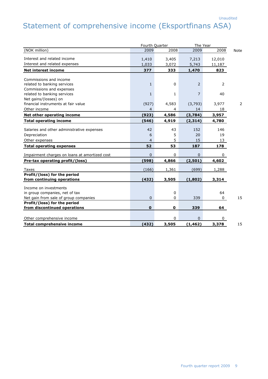# Statement of comprehensive income (Eksportfinans ASA)

|                                               | Fourth Quarter | The Year     |                |              |             |
|-----------------------------------------------|----------------|--------------|----------------|--------------|-------------|
| (NOK million)                                 | 2009           | 2008         | 2009           | 2008         | <b>Note</b> |
| Interest and related income                   | 1,410          | 3,405        | 7,213          | 12,010       |             |
| Interest and related expenses                 | 1,033          | 3,072        | 5,743          | 11,187       |             |
| <b>Net interest income</b>                    | 377            | 333          | 1,470          | 823          |             |
|                                               |                |              |                |              |             |
| Commissions and income                        |                |              |                |              |             |
| related to banking services                   | $\mathbf{1}$   | $\mathbf 0$  | $\overline{2}$ | 2            |             |
| Commissions and expenses                      |                |              |                |              |             |
| related to banking services                   | $\mathbf{1}$   | $\mathbf{1}$ | $\overline{7}$ | 40           |             |
| Net gains/(losses) on                         |                |              |                |              |             |
| financial instruments at fair value           | (927)          | 4,583        | (3,793)        | 3,977        | 2           |
| Other income                                  | $\overline{4}$ | 4            | 14             | 18           |             |
| Net other operating income                    | (923)          | 4,586        | (3,784)        | 3,957        |             |
| <b>Total operating income</b>                 | (546)          | 4,919        | (2, 314)       | 4,780        |             |
| Salaries and other administrative expenses    | 42             | 43           | 152            | 146          |             |
| Depreciation                                  | 6              | 5            | 20             | 19           |             |
| Other expenses                                | $\overline{4}$ | 5            | 15             | 13           |             |
| <b>Total operating expenses</b>               | 52             | 53           | 187            | 178          |             |
|                                               |                |              |                |              |             |
| Impairment charges on loans at amortized cost | $\mathbf{0}$   | $\mathbf 0$  | $\Omega$       | 0            |             |
| Pre-tax operating profit/(loss)               | (598)          | 4,866        | (2, 501)       | 4,602        |             |
| Taxes                                         | (166)          | 1,361        | (699)          | 1,288        |             |
| Profit/(loss) for the period                  |                |              |                |              |             |
| from continuing operations                    | (432)          | 3,505        | (1,802)        | 3,314        |             |
| Income on investments                         |                |              |                |              |             |
| in group companies, net of tax                |                | $\mathbf 0$  |                | 64           |             |
| Net gain from sale of group companies         | $\mathbf 0$    | 0            | 339            | 0            | 15          |
| Profit/(loss) for the period                  |                |              |                |              |             |
| from discontinued operations                  | $\mathbf 0$    | $\mathbf 0$  | 339            | 64           |             |
|                                               |                |              |                |              |             |
| Other comprehensive income                    |                | $\mathbf 0$  | $\Omega$       | $\mathbf{0}$ |             |
| <b>Total comprehensive income</b>             | (432)          | 3,505        | (1, 462)       | 3,378        | 15          |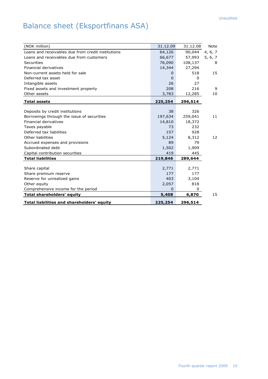# Balance sheet (Eksportfinans ASA)

| (NOK million)                                      | 31.12.09 | 31.12.08 | Note    |
|----------------------------------------------------|----------|----------|---------|
| Loans and receivables due from credit institutions | 64,126   | 90,044   | 4, 6, 7 |
| Loans and receivables due from customers           | 66,677   | 57,993   | 5, 6, 7 |
| Securities                                         | 76,090   | 108,137  | 8       |
| Financial derivatives                              | 14,344   | 27,294   |         |
| Non-current assets held for sale                   | 0        | 518      | 15      |
| Deferred tax asset                                 | $\Omega$ | 0        |         |
| Intangible assets                                  | 26       | 27       |         |
| Fixed assets and investment property               | 208      | 216      | 9       |
| Other assets                                       | 3,783    | 12,285   | 10      |
| <b>Total assets</b>                                | 225,254  | 296,514  |         |
|                                                    |          |          |         |
| Deposits by credit institutions                    | 38       | 326      |         |
| Borrowings through the issue of securities         | 197,634  | 259,041  | 11      |
| Financial derivatives                              | 14,810   | 18,372   |         |
| Taxes payable                                      | 73       | 232      |         |
| Deferred tax liabilities                           | 157      | 928      |         |
| Other liabilities                                  | 5,124    | 8,312    | 12      |
| Accrued expenses and provisions                    | 89       | 79       |         |
| Subordinated debt                                  | 1,502    | 1,909    |         |
| Capital contribution securities                    | 419      | 445      |         |
| <b>Total liabilities</b>                           | 219,846  | 289,644  |         |
|                                                    |          |          |         |
| Share capital                                      | 2,771    | 2,771    |         |
| Share premium reserve                              | 177      | 177      |         |
| Reserve for unrealized gains                       | 403      | 3,104    |         |
| Other equity                                       | 2,057    | 818      |         |
| Comprehensive income for the period                | 0        | 0        |         |
| <b>Total shareholders' equity</b>                  | 5,408    | 6,870    | 15      |
| <b>Total liabilities and shareholders' equity</b>  | 225,254  | 296,514  |         |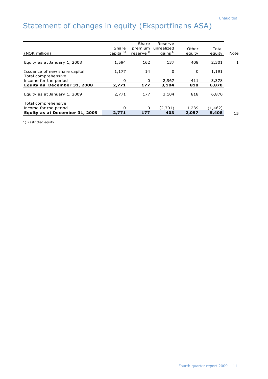# Statement of changes in equity (Eksportfinans ASA)

| Equity as at January 1, 2009                 | 2,771                    | 177                              | 3,104                     | 818             | 6,870           |      |
|----------------------------------------------|--------------------------|----------------------------------|---------------------------|-----------------|-----------------|------|
|                                              |                          |                                  |                           |                 |                 |      |
| Equity as December 31, 2008                  | 2,771                    | 177                              | 3,104                     | 818             | 6,870           |      |
| Total comprehensive<br>income for the period | 0                        | $\Omega$                         | 2,967                     | 411             | 3,378           |      |
| Issuance of new share capital                | 1,177                    | 14                               | 0                         | 0               | 1,191           |      |
| Equity as at January 1, 2008                 | 1,594                    | 162                              | 137                       | 408             | 2,301           | 1    |
| (NOK million)                                | Share<br>capital $^{1)}$ | premium<br>reserve <sup>1)</sup> | unrealized<br>gains $1$ , | Other<br>equity | Total<br>equity | Note |
|                                              |                          | Share                            | Reserve                   |                 |                 |      |

1) Restricted equity.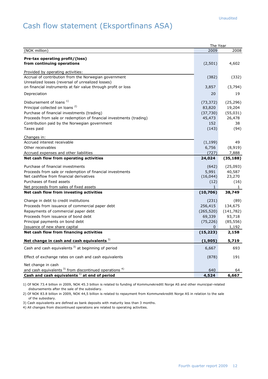## Cash flow statement (Eksportfinans ASA)

|                                                                                                                    | The Year     |              |
|--------------------------------------------------------------------------------------------------------------------|--------------|--------------|
| (NOK million)                                                                                                      | 2009         | 2008         |
| Pre-tax operating profit/(loss)<br>from continuing operations                                                      | (2,501)      | 4,602        |
| Provided by operating activities:                                                                                  |              |              |
| Accrual of contribution from the Norwegian government                                                              | (382)        | (332)        |
| Unrealized losses (reversal of unrealized losses)<br>on financial instruments at fair value through profit or loss | 3,857        | (3,794)      |
| Depreciation                                                                                                       | 20           | 19           |
| Disbursement of loans <sup>1)</sup>                                                                                | (73, 372)    | (25, 296)    |
| Principal collected on loans <sup>2)</sup>                                                                         | 83,820       | 19,204       |
| Purchase of financial investments (trading)                                                                        | (37, 730)    | (55, 031)    |
| Proceeds from sale or redemption of financial investments (trading)                                                | 45,473       | 26,478       |
| Contribution paid by the Norwegian government                                                                      | 152          | 38           |
| Taxes paid                                                                                                         | (143)        | (94)         |
|                                                                                                                    |              |              |
| Changes in:                                                                                                        |              |              |
| Accrued interest receivable                                                                                        | (1, 199)     | 49           |
| Other receivables                                                                                                  | 6,756        | (8, 919)     |
| Accrued expenses and other liabilities                                                                             | (727)        | 7,888        |
| Net cash flow from operating activities                                                                            | 24,024       | (35, 188)    |
| Purchase of financial investments                                                                                  | (642)        | (25,093)     |
| Proceeds from sale or redemption of financial investments                                                          | 5,991        | 40,587       |
| Net cashflow from financial derivatives                                                                            | (16, 044)    | 23,270       |
| Purchases of fixed assets                                                                                          | (12)         | (16)         |
| Net proceeds from sales of fixed assets                                                                            | $\mathbf{1}$ | $\mathbf{1}$ |
| Net cash flow from investing activities                                                                            | (10, 706)    | 38,749       |
| Change in debt to credit institutions                                                                              | (231)        | (89)         |
| Proceeds from issuance of commercial paper debt                                                                    | 256,415      | 134,675      |
| Repayments of commercial paper debt                                                                                | (265, 520)   | (141, 782)   |
| Proceeds from issuance of bond debt                                                                                | 69,339       | 93,718       |
| Principal payments on bond debt                                                                                    | (75, 226)    | (85, 556)    |
| Issuance of new share capital                                                                                      | 0            | 1,192        |
| Net cash flow from financing activities                                                                            | (15, 223)    | 2,158        |
| Net change in cash and cash equivalents <sup>3)</sup>                                                              | (1,905)      | 5,719        |
| Cash and cash equivalents $3)$ at beginning of period                                                              | 6,667        | 693          |
| Effect of exchange rates on cash and cash equivalents                                                              | (878)        | 191          |
| Net change in cash                                                                                                 |              |              |
| and cash equivalents <sup>3)</sup> from discontinued operations <sup>4)</sup>                                      | 640          | 64           |
| Cash and cash equivalents $^{1)}$ at end of period                                                                 | 4,524        | 6,667        |

1) Of NOK 73.4 billion in 2009, NOK 45.3 billion is related to funding of Kommunekreditt Norge AS and other municipal-related disbursements after the sale of the subsidiary.

2) Of NOK 83.8 billion in 2009, NOK 44,5 billion is related to repayment from Kommunekreditt Norge AS in relation to the sale of the subsidiary.

3) Cash equivalents are defined as bank deposits with maturity less than 3 months.

4) All changes from discontinued operations are related to operating activities.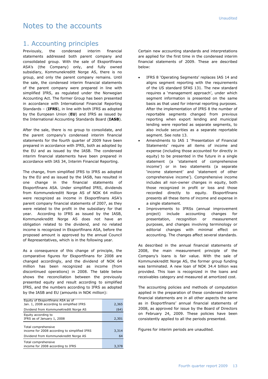#### Notes to the accounts

#### 1. Accounting principles

Previously, the condensed interim financial statements addressed both parent company and consolidated group. With the sale of Eksportfinans ASA"s (the Company) only, and fully owned subsidiary, Kommunekreditt Norge AS, there is no group, and only the parent company remains. Until the sale, the condensed interim financial statements of the parent company were prepared in line with simplified IFRS, as regulated under the Norwegian Accounting Act. The former Group has been presented in accordance with International Financial Reporting Standards – (**IFRS**), in line with both IFRS as adopted by the European Union (**EU**) and IFRS as issued by the International Accounting Standards Board (**IASB**).

After the sale, there is no group to consolidate, and the parent company's condensed interim financial statements for the fourth quarter of 2009 have been prepared in accordance with IFRS, both as adopted by the EU and as issued by the IASB. The condensed interim financial statements have been prepared in accordance with IAS 34, Interim Financial Reporting.

The change, from simplified IFRS to IFRS as adopted by the EU and as issued by the IASB, has resulted in one change in the financial statements of Eksportfinans ASA. Under simplified IFRS, dividends from Kommunekreditt Norge AS of NOK 64 million were recognized as income in Eksportfinans ASA"s parent company financial statements of 2007, as they were related to the profit in the subsidiary for that year. According to IFRS as issued by the IASB, Kommunekreditt Norge AS does not have an obligation related to the dividend, and no related income is recognized in Eksportfinans ASA, before the proposed amount is approved by the annual Council of Representatives, which is in the following year.

As a consequence of this change of principle, the comparative figures for Eksportfinans for 2008 are changed accordingly, and the dividend of NOK 64 million has been recognized as income (from discontinued operations) in 2008. The table below shows the reconciliation between the previously presented equity and result according to simplified IFRS, and the numbers according to IFRS as adopted by the IASB and EU (amounts in NOK million):

| Equity of Eksportfinans ASA as of<br>Jan. 1, 2008 according to simplified IFRS | 2,365 |
|--------------------------------------------------------------------------------|-------|
| Dividend from KommuneKreditt Norge AS                                          | (64)  |
| Equity according to<br>IFRS as of January 1, 2008                              | 2,301 |
| Total comprehensive<br>income for 2008 according to simplified IFRS            | 3,314 |
| Dividend from Kommunekreditt Norge AS                                          | 64    |
| Total comprehensive<br>income for 2008 according to IFRS                       | 3,378 |

Certain new accounting standards and interpretations are applied for the first time in the condensed interim financial statements of 2009. These are described below:

- IFRS 8 'Operating Segments' replaces IAS 14 and aligns segment reporting with the requirements of the US standard SFAS 131. The new standard requires a 'management approach', under which segment information is presented on the same basis as that used for internal reporting purposes. After the implementation of IFRS 8 the number of reportable segments changed from previous reporting when export lending and municipal lending were reported as separate segments, to also include securities as a separate reportable segment. See note 13.
- Amendments to IAS 1 "Presentation of Financial Statements' require all items of income and expense (including those accounted for directly in equity) to be presented in the future in a single statement (a "statement of comprehensive income') or in two statements (a separate 'income statement' and 'statement of other comprehensive income"). Comprehensive income includes all non-owner changes in equity, both those recognized in profit or loss and those recorded directly to equity. Eksportfinans presents all these items of income and expense in a single statement.
- Improvements to IFRSs (annual improvement project) include accounting changes for presentation, recognition or measurement purposes, and changes involving terminology or editorial changes with minimal effect on accounting. The changes affect several standards.

As described in the annual financial statements of 2008, the main measurement principle of the Company"s loans is fair value. With the sale of Kommunekreditt Norge AS, the former group funding was terminated. A new loan of NOK 34.4 billion was provided. This loan is recognized in the loans and receivables category and measured at amortized cost.

The accounting policies and methods of computation applied in the preparation of these condensed interim financial statements are in all other aspects the same as in Eksportfinans' annual financial statements of 2008, as approved for issue by the Board of Directors on February 24, 2009. These policies have been consistently applied to all the periods presented.

Figures for interim periods are unaudited.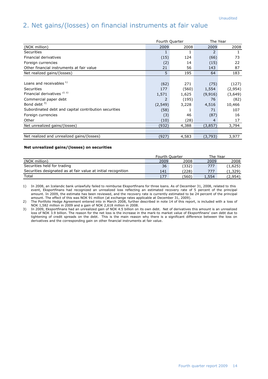## 2. Net gains/(losses) on financial instruments at fair value

|                                                       | Fourth Quarter |       | The Year |         |  |
|-------------------------------------------------------|----------------|-------|----------|---------|--|
| (NOK million)                                         | 2009           | 2008  | 2009     | 2008    |  |
| Securities                                            | 1              | 1     | 2        |         |  |
| Financial derivatives                                 | (15)           | 124   | (66)     | 73      |  |
| Foreign currencies                                    | (2)            | 14    | (15)     | 22      |  |
| Other financial instruments at fair value             | 21             | 56    | 143      | 87      |  |
| Net realized gains/(losses)                           | 5              | 195   | 64       | 183     |  |
|                                                       |                |       |          |         |  |
| Loans and receivables $^{1)}$                         | (62)           | 271   | (75)     | (127)   |  |
| Securities                                            | 177            | (560) | 1,554    | (2,954) |  |
| Financial derivatives <sup>2)3)</sup>                 | 1,571          | 1,625 | (9,916)  | (3,649) |  |
| Commercial paper debt                                 |                | (195) | 76       | (82)    |  |
| Bond debt $3)$                                        | (2, 549)       | 3,228 | 4,516    | 10,466  |  |
| Subordinated debt and capital contribution securities | (58)           |       | 71       | 107     |  |
| Foreign currencies                                    | (3)            | 46    | (87)     | 16      |  |
| Other                                                 | (10)           | (28)  | 4        | 17      |  |
| Net unrealized gains/(losses)                         | (932)          | 4,388 | (3,857)  | 3,794   |  |
|                                                       |                |       |          |         |  |
| Net realized and unrealized gains/(losses)            | (927)          | 4,583 | (3,793)  | 3,977   |  |

#### **Net unrealized gains/(losses) on securities**

|                                                               | <b>Fourth Ouarter</b> |       | The Year |         |
|---------------------------------------------------------------|-----------------------|-------|----------|---------|
| (NOK million)                                                 | 2009                  | 2008  | 2009     | 2008    |
| Securities held for trading                                   | 36                    | (332) | 777      | (1,625) |
| Securities designated as at fair value at initial recognition | 141                   | (228) | 777      | (1,329) |
| Total                                                         | 177                   | (560) | 1,554    | (2,954) |

1) In 2008, an Icelandic bank unlawfully failed to reimburse Eksportfinans for three loans. As of December 31, 2008, related to this event, Eksportfinans had recognized an unrealized loss reflecting an estimated recovery rate of 5 percent of the principal amount. In 2009, the estimate has been reviewed, and the recovery rate is currently estimated to be 24 percent of the principal amount. The effect of this was NOK 91 million (at exchange rates applicable at December 31, 2009).

2) The Portfolio Hedge Agreement entered into in March 2008, further described in note 14 of this report, is included with a loss of NOK 1,582 million in 2009 and a gain of NOK 2,618 million in 2008.

3) In 2009, Eksportfinans had an unrealized gain of NOK 4.5 billion on its own debt. Net of derivatives this amount is an unrealized loss of NOK 3.9 billion. The reason for the net loss is the increase in the mark-to market value of Eksportfinans' own debt due to tightening of credit spreads on the debt. This is the main reason why there is a significant difference between the loss on derivatives and the corresponding gain on other financial instruments at fair value.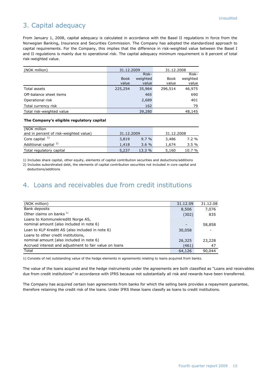#### 3. Capital adequacy

From January 1, 2008, capital adequacy is calculated in accordance with the Basel II regulations in force from the Norwegian Banking, Insurance and Securities Commission. The Company has adopted the standardized approach to capital requirements. For the Company, this implies that the difference in risk-weighted value between the Basel I and II regulations is mainly due to operational risk. The capital adequacy minimum requirement is 8 percent of total risk-weighted value.

| (NOK million)             | 31.12.2009  |          | 31.12.2008  |          |
|---------------------------|-------------|----------|-------------|----------|
|                           |             | Risk-    |             | Risk-    |
|                           | <b>Book</b> | weighted | <b>Book</b> | weighted |
|                           | value       | value    | value       | value    |
| <b>Total assets</b>       | 225,254     | 35,964   | 296,514     | 46,975   |
| Off-balance sheet items   |             | 465      |             | 690      |
| Operational risk          |             | 2,689    |             | 401      |
| Total currency risk       |             | 162      |             | 79       |
| Total risk-weighted value |             | 39,280   |             | 48,145   |

#### **The Company's eligible regulatory capital**

| (NOK million                           |            |          |            |        |
|----------------------------------------|------------|----------|------------|--------|
| and in percent of risk-weighted value) | 31.12.2009 |          | 31.12.2008 |        |
| Core capital $1$                       | 3,819      | $9.7 \%$ | 3,486      | 7.2 %  |
| Additional capital <sup>2)</sup>       | 1,418      | $3.6 \%$ | 1,674      | 3.5%   |
| Total regulatory capital               | 5,237      | $13.3\%$ | 5,160      | 10.7 % |

1) Includes share capital, other equity, elements of capital contribution securities and deductions/additions

2) Includes subordinated debt, the elements of capital contribution securities not included in core capital and deductions/additions

#### 4. Loans and receivables due from credit institutions

| (NOK million)                                          | 31.12.09 | 31.12.08 |
|--------------------------------------------------------|----------|----------|
| Bank deposits                                          | 8,506    | 7,076    |
| Other claims on banks <sup>1)</sup>                    | (302)    | 835      |
| Loans to Kommunekreditt Norge AS,                      |          |          |
| nominal amount (also included in note 6)               | -        | 58,858   |
| Loan to KLP Kreditt AS (also included in note 6)       | 30,058   |          |
| Loans to other credit institutions,                    |          |          |
| nominal amount (also included in note 6)               | 26,325   | 23,228   |
| Accrued interest and adjustment to fair value on loans | (461)    | 47       |
| Total                                                  | 64,126   | 90.044   |

1) Consists of net outstanding value of the hedge elements in agreements relating to loans acquired from banks.

The value of the loans acquired and the hedge instruments under the agreements are both classified as "Loans and receivables due from credit institutions" in accordance with IFRS because not substantially all risk and rewards have been transferred.

The Company has acquired certain loan agreements from banks for which the selling bank provides a repayment guarantee, therefore retaining the credit risk of the loans. Under IFRS these loans classify as loans to credit institutions.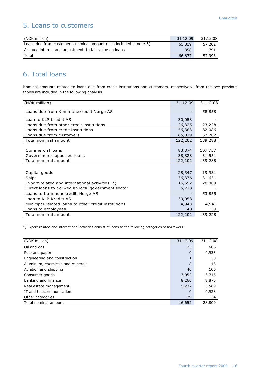#### 5. Loans to customers

| (NOK million)                                                      | 31.12.09 | 31.12.08 |
|--------------------------------------------------------------------|----------|----------|
| Loans due from customers, nominal amount (also included in note 6) | 65,819   | 57,202   |
| Accrued interest and adjustment to fair value on loans             | 858      | 791      |
| Total                                                              | 66,677   | 57,993   |

## 6. Total loans

Nominal amounts related to loans due from credit institutions and customers, respectively, from the two previous tables are included in the following analysis.

| (NOK million)                                        | 31.12.09 | 31.12.08 |
|------------------------------------------------------|----------|----------|
| Loans due from Kommunekreditt Norge AS               |          | 58,858   |
| Loan to KLP Kreditt AS                               | 30,058   |          |
| Loans due from other credit institutions             | 26,325   | 23,228   |
| Loans due from credit institutions                   | 56,383   | 82,086   |
| Loans due from customers                             | 65,819   | 57,202   |
| Total nominal amount                                 | 122,202  | 139,288  |
|                                                      |          |          |
| Commercial loans                                     | 83,374   | 107,737  |
| Government-supported loans                           | 38,828   | 31,551   |
| Total nominal amount                                 | 122,202  | 139,288  |
|                                                      |          |          |
| Capital goods                                        | 28,347   | 19,931   |
| Ships                                                | 36,376   | 31,631   |
| Export-related and international activities *)       | 16,652   | 28,809   |
| Direct loans to Norwegian local government sector    | 5,778    |          |
| Loans to Kommunekreditt Norge AS                     |          | 53,855   |
| Loan to KLP Kreditt AS                               | 30,058   |          |
| Municipal-related loans to other credit institutions | 4,943    | 4,943    |
| Loans to employees                                   | 48       | 59       |
| Total nominal amount                                 | 122,202  | 139,228  |

\*) Export-related and international activities consist of loans to the following categories of borrowers:

| (NOK million)                    | 31.12.09     | 31.12.08 |
|----------------------------------|--------------|----------|
| Oil and gas                      | 25           | 606      |
| Pulp and paper                   | $\mathbf{0}$ | 4,933    |
| Engineering and construction     |              | 30       |
| Aluminum, chemicals and minerals | 8            | 13       |
| Aviation and shipping            | 40           | 106      |
| Consumer goods                   | 3,052        | 3,715    |
| Banking and finance              | 8,260        | 8,875    |
| Real estate management           | 5,237        | 5,569    |
| IT and telecommunication         | 0            | 4,928    |
| Other categories                 | 29           | 34       |
| Total nominal amount             | 16,652       | 28,809   |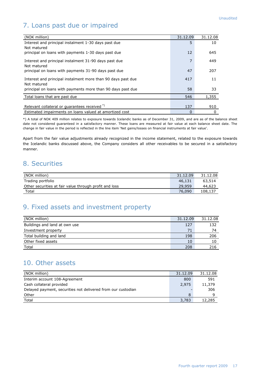## 7. Loans past due or impaired

| (NOK million)                                                               | 31.12.09 | 31.12.08 |
|-----------------------------------------------------------------------------|----------|----------|
| Interest and principal instalment 1-30 days past due                        | 5        | 10       |
| Not matured                                                                 |          |          |
| principal on loans with payments 1-30 days past due                         | 12       | 645      |
| Interest and principal instalment 31-90 days past due                       | 7        | 449      |
| Not matured                                                                 |          |          |
| principal on loans with payments 31-90 days past due                        | 47       | 207      |
|                                                                             |          |          |
| Interest and principal instalment more than 90 days past due<br>Not matured | 417      | 11       |
| principal on loans with payments more than 90 days past due                 | 58       | 33       |
|                                                                             |          |          |
| Total loans that are past due                                               | 546      | 1,355    |
|                                                                             |          |          |
| Relevant collateral or quarantees received <sup>*)</sup>                    | 137      | 910      |
| Estimated impairments on loans valued at amortized cost                     | 0        | 0        |

\*) A total of NOK 409 million relates to exposure towards Icelandic banks as of December 31, 2009, and are as of the balance sheet date not considered guaranteed in a satisfactory manner. These loans are measured at fair value at each balance sheet date. The change in fair value in the period is reflected in the line item "Net gains/losses on financial instruments at fair value".

Apart from the fair value adjustments already recognized in the income statement, related to the exposure towards the Icelandic banks discussed above, the Company considers all other receivables to be secured in a satisfactory manner.

#### 8. Securities

| (NOK million)                                          | 31.12.09 | 31.12.08 |
|--------------------------------------------------------|----------|----------|
| Trading portfolio                                      | 46.131   | 63,514   |
| Other securities at fair value through profit and loss | 29,959   | 44,623   |
| Total                                                  | 76,090   | 108,137  |

#### 9. Fixed assets and investment property

| (NOK million)                 | 31.12.09 | 31.12.08 |
|-------------------------------|----------|----------|
| Buildings and land at own use | 127      | 132      |
| Investment property           | 71       | 74       |
| Total building and land       | 198      | 206      |
| Other fixed assets            | 10       | 10       |
| Total                         | 208      | 216      |

#### 10. Other assets

| (NOK million)                                                | 31.12.09 | 31.12.08 |
|--------------------------------------------------------------|----------|----------|
| Interim account 108-Agreement                                | 800      | 591      |
| Cash collateral provided                                     | 2,975    | 11,379   |
| Delayed payment, securities not delivered from our custodian |          | 306      |
| Other                                                        | 8        |          |
| Total                                                        | 3,783    | 12,285   |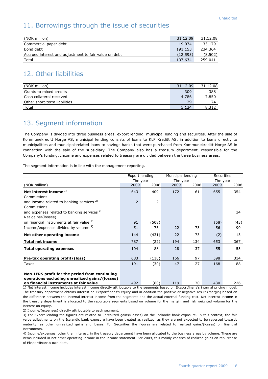#### 11. Borrowings through the issue of securities

| (NOK million)                                         | 31.12.09 | 31.12.08 |
|-------------------------------------------------------|----------|----------|
| Commercial paper debt                                 | 19,074   | 33,179   |
| Bond debt                                             | 191,153  | 234,364  |
| Accrued interest and adjustment to fair value on debt | (12.593) | (8,502)  |
| Total                                                 | 197,634  | 259,041  |

#### 12. Other liabilities

| (NOK million)                | 31.12.09 | 31.12.08 |
|------------------------------|----------|----------|
| Grants to mixed credits      | 309      | 388      |
| Cash collateral received     | 4,786    | 7,850    |
| Other short-term liabilities | 29       | 74       |
| <b>Total</b>                 | 5,124    | 8.312    |

#### 13. Segment information

The Company is divided into three business areas, export lending, municipal lending and securities. After the sale of Kommunekreditt Norge AS, municipal lending consists of loans to KLP Kreditt AS, in addition to loans directly to municipalities and municipal-related loans to savings banks that were purchased from Kommunekreditt Norge AS in connection with the sale of the subsidiary. The Company also has a treasury department, responsible for the Company"s funding. Income and expenses related to treasury are divided between the three business areas.

The segment information is in line with the management reporting.

|                                                                                                  |                          | Export lending       | Municipal lending |          | <b>Securities</b> |      |
|--------------------------------------------------------------------------------------------------|--------------------------|----------------------|-------------------|----------|-------------------|------|
|                                                                                                  |                          | The year<br>The year |                   | The year |                   |      |
| (NOK million)                                                                                    | 2009                     | 2008                 | 2009              | 2008     | 2009              | 2008 |
| Net interest income $1$                                                                          | 643                      | 409                  | 172               | 61       | 655               | 354  |
| Commissions                                                                                      |                          |                      |                   |          |                   |      |
| and income related to banking services $2$                                                       | $\overline{\phantom{0}}$ | 2                    |                   |          |                   |      |
| Commissions                                                                                      |                          |                      |                   |          |                   |      |
| and expenses related to banking services <sup>2)</sup>                                           |                          |                      |                   |          |                   | 34   |
| Net gains/(losses)                                                                               |                          |                      |                   |          |                   |      |
| on financial instruments at fair value 3)                                                        | 91                       | (508)                |                   |          | (58)              | (43) |
| Income/expenses divided by volume 4)                                                             | 51                       | 75                   | 22                | 73       | 56                | 90   |
| Net other operating income                                                                       | 144                      | (431)                | 22                | 73       | (2)               | 13   |
| <b>Total net income</b>                                                                          | 787                      | (22)                 | 194               | 134      | 653               | 367  |
| <b>Total operating expenses</b>                                                                  | 104                      | 88                   | 28                | 37       | 55                | 53   |
|                                                                                                  |                          |                      |                   |          |                   |      |
| Pre-tax operating profit/(loss)                                                                  | 683                      | (110)                | 166               | 97       | 598               | 314  |
| Taxes                                                                                            | 191                      | (30)                 | 47                | 27       | 168               | 88   |
| Non-IFRS profit for the period from continuing<br>operations excluding unrealized gains/(losses) |                          |                      |                   |          |                   |      |

**on financial instruments at fair value** 492 (80) 119 70 430 226 1) Net interest income includes interest income directly attributable to the segments based on Eksportfinans's internal pricing model. The treasury department obtains interest on Eksportfinans's equity and in addition the positive or negative result (margin) based on the difference between the internal interest income from the segments and the actual external funding cost. Net interest income in

the treasury department is allocated to the reportable segments based on volume for the margin, and risk weighted volume for the interest on equity.

2) Income/(expenses) directly attributable to each segment.

3) For Export lending the figures are related to unrealized gains/(losses) on the Icelandic bank exposure. In this context, the fair value adjustments on the Icelandic bank exposure have been treated as realized, as they are not expected to be reversed towards maturity, as other unrealized gains and losses. For Securities the figures are related to realized gains/(losses) on financial instruments.

4) Income/expenses, other than interest, in the treasury department have been allocated to the business areas by volume. These are items included in net other operating income in the income statement. For 2009, this mainly consists of realized gains on repurchase of Eksportfinans's own debt.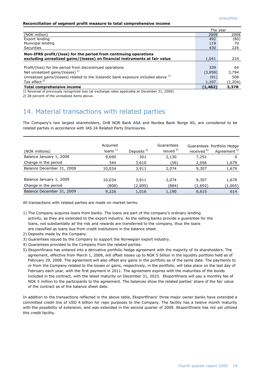#### **Reconciliation of segment profit measure to total comprehensive income**

|                                                                                               | The vear |         |
|-----------------------------------------------------------------------------------------------|----------|---------|
| (NOK million)                                                                                 | 2009     | 2008    |
| Export lending                                                                                | 492      | (80)    |
| Municipal lending                                                                             | 119      | 70      |
| Securities                                                                                    | 430      | 226     |
| Non-IFRS profit/(loss) for the period from continuing operations                              |          |         |
| excluding unrealized gains/(losses) on financial instruments at fair value                    | 1,041    | 216     |
|                                                                                               |          |         |
| Profit/(loss) for the period from discontinued operations                                     | 339      | 64      |
| Net unrealized gains/(losses) $1$                                                             | (3,858)  | 3,794   |
| Unrealized gains/(losses) related to the Icelandic bank exposure included above <sup>1)</sup> | (91)     | 508     |
| Tax effect <sup>2)</sup>                                                                      | 1,107    | (1,204) |
| Total comprehensive income                                                                    | (1,462)  | 3,378   |

1) Reversal of previously recognized loss (at exchange rates applicable at December 31, 2009).

2) 28 percent of the unrealized items above.

#### 14. Material transactions with related parties

The Company's two largest shareholders, DnB NOR Bank ASA and Nordea Bank Norge AS, are considered to be related parties in accordance with IAS 24 Related Party Disclosures.

| (NOK millions)                                  | Acquired<br>loans <sup>1</sup> | Deposits $2$     | Guarantees<br>issued $3)$ | received <sup>4)</sup> | Guarantees Portfolio Hedge<br>Agreement <sup>5)</sup> |
|-------------------------------------------------|--------------------------------|------------------|---------------------------|------------------------|-------------------------------------------------------|
| Balance January 1, 2008                         | 9,690                          | 301              | 2,130                     | 7,251                  |                                                       |
| Change in the period                            | 344                            | 3,610            | (56)                      | 2,056                  | 1,679                                                 |
| Balance December 31, 2008                       | 10,034                         | 3,911            | 2,074                     | 9,307                  | 1,679                                                 |
| Balance January 1, 2009<br>Change in the period | 10,034<br>(808)                | 3,911<br>(2,895) | 2,074<br>(884)            | 9,307<br>(2,692)       | 1,679<br>(1,065)                                      |
| Balance December 31, 2009                       | 9,226                          | 1,016            | 1,190                     | 6,615                  | 614                                                   |

All transactions with related parties are made on market terms.

- 1) The Company acquires loans from banks. The loans are part of the company's ordinary lending activity, as they are extended to the export industry. As the selling banks provide a guarantee for the loans, not substantially all the risk and rewards are transferred to the company, thus the loans are classified as loans due from credit institutions in the balance sheet.
- 2) Deposits made by the Company.
- 3) Guarantees issued by the Company to support the Norwegian export industry.
- 4) Guarantees provided to the Company from the related parties.
- 5) Eksportfinans has entered into a derivative portfolio hedge agreement with the majority of its shareholders. The agreement, effective from March 1, 2008, will offset losses up to NOK 5 billion in the liquidity portfolio held as of February 29, 2008. The agreement will also offset any gains in the portfolio as of the same date. The payments to or from the Company related to the losses or gains, respectively, in the portfolio, will take place on the last day of February each year, with the first payment in 2011. The agreement expires with the maturities of the bonds included in the contract, with the latest maturity on December 31, 2023. Eksportfinans will pay a monthly fee of NOK 5 million to the participants to the agreement. The balances show the related parties" share of the fair value of the contract as of the balance sheet date.

In addition to the transactions reflected in the above table, Eksportfinans" three major owner banks have extended a committed credit line of USD 4 billion for repo purposes to the Company. The facility has a twelve month maturity with the possibility of extension, and was extended in the second quarter of 2009. Eksportfinans has not yet utilized this credit facility.